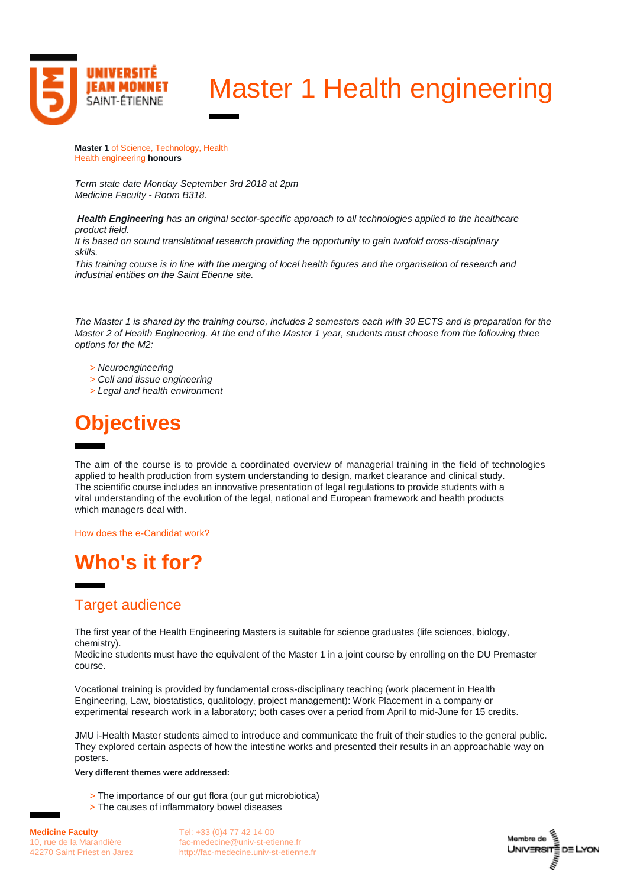

# Master 1 Health engineering

**Master 1** of Science, Technology, Health Health engineering **honours**

*Term state date Monday September 3rd 2018 at 2pm Medicine Faculty - Room B318.*

*Health Engineering has an original sector-specific approach to all technologies applied to the healthcare product field.*

*It is based on sound translational research providing the opportunity to gain twofold cross-disciplinary skills.*

*This training course is in line with the merging of local health figures and the organisation of research and industrial entities on the Saint Etienne site.*

*The Master 1 is shared by the training course, includes 2 semesters each with 30 ECTS and is preparation for the Master 2 of Health Engineering. At the end of the Master 1 year, students must choose from the following three options for the M2:*

- *> Neuroengineering*
- *> Cell and tissue engineering*
- *> Legal and health environment*

## **Objectives**

The aim of the course is to provide a coordinated overview of managerial training in the field of technologies applied to health production from system understanding to design, market clearance and clinical study. The scientific course includes an innovative presentation of legal regulations to provide students with a vital understanding of the evolution of the legal, national and European framework and health products which managers deal with.

[How does the e-Candidat work?](https://www.univ-st-etienne.fr/fr/faculte-de-medecine/masters/candidatures-en-licence-2-licence-3-et-masters.html)

## **Who's it for?**

### **Target audience**

The first year of the Health Engineering Masters is suitable for science graduates (life sciences, biology, chemistry).

Medicine students must have the equivalent of the Master 1 in a joint course by enrolling on the DU Premaster course.

Vocational training is provided by fundamental cross-disciplinary teaching (work placement in Health Engineering, Law, biostatistics, qualitology, project management): Work Placement in a company or experimental research work in a laboratory; both cases over a period from April to mid-June for 15 credits.

JMU i-Health Master students aimed to introduce and communicate the fruit of their studies to the general public. They explored certain aspects of how the intestine works and presented their results in an approachable way on posters.

#### **Very different themes were addressed:**

- > The importance of our gut flora (our gut microbiotica)
- > The causes of inflammatory bowel diseases

Tel: +33 (0)4 77 42 14 00 [fac-medecine@univ-st-etienne.fr](mailto:fac-medecine@univ-st-etienne.fr) [http://fac-medecine.univ-st-etienne.fr](http://fac-medecine.univ-st-etienne.fr/)